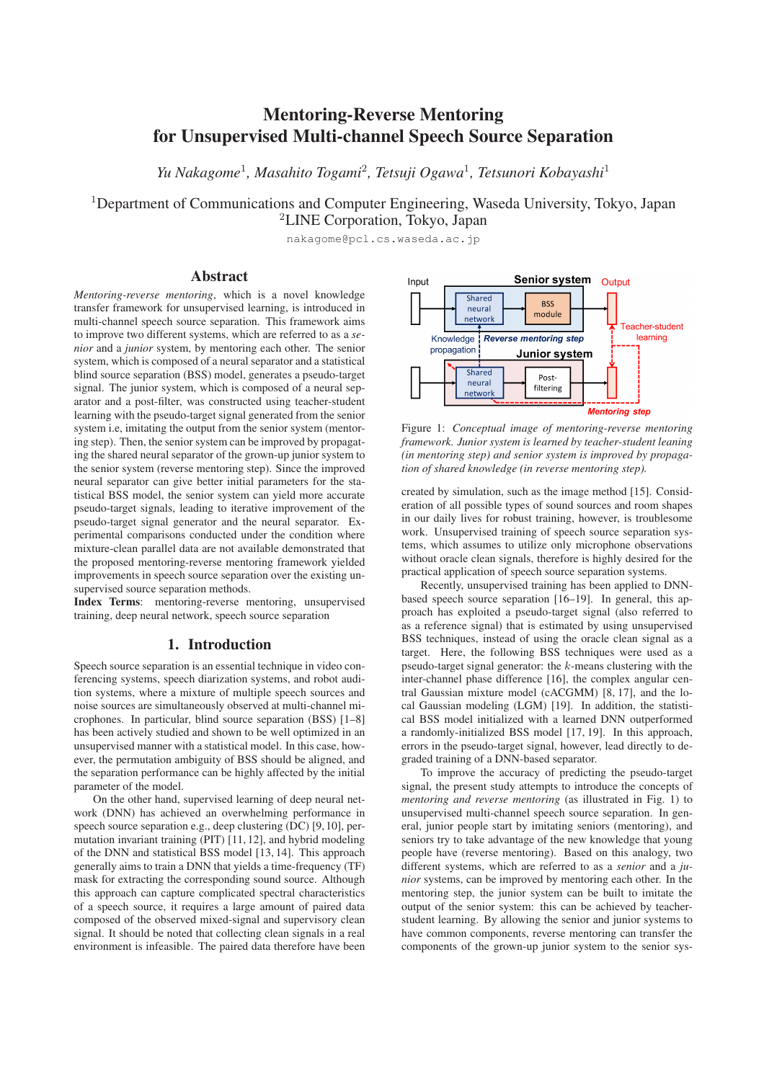# Mentoring-Reverse Mentoring for Unsupervised Multi-channel Speech Source Separation

*Yu Nakagome*<sup>1</sup> *, Masahito Togami*<sup>2</sup> *, Tetsuji Ogawa*<sup>1</sup> *, Tetsunori Kobayashi*<sup>1</sup>

<sup>1</sup>Department of Communications and Computer Engineering, Waseda University, Tokyo, Japan <sup>2</sup>LINE Corporation, Tokyo, Japan

nakagome@pcl.cs.waseda.ac.jp

### Abstract

*Mentoring-reverse mentoring*, which is a novel knowledge transfer framework for unsupervised learning, is introduced in multi-channel speech source separation. This framework aims to improve two different systems, which are referred to as a *senior* and a *junior* system, by mentoring each other. The senior system, which is composed of a neural separator and a statistical blind source separation (BSS) model, generates a pseudo-target signal. The junior system, which is composed of a neural separator and a post-filter, was constructed using teacher-student learning with the pseudo-target signal generated from the senior system i.e, imitating the output from the senior system (mentoring step). Then, the senior system can be improved by propagating the shared neural separator of the grown-up junior system to the senior system (reverse mentoring step). Since the improved neural separator can give better initial parameters for the statistical BSS model, the senior system can yield more accurate pseudo-target signals, leading to iterative improvement of the pseudo-target signal generator and the neural separator. Experimental comparisons conducted under the condition where mixture-clean parallel data are not available demonstrated that the proposed mentoring-reverse mentoring framework yielded improvements in speech source separation over the existing unsupervised source separation methods.

Index Terms: mentoring-reverse mentoring, unsupervised training, deep neural network, speech source separation

# 1. Introduction

Speech source separation is an essential technique in video conferencing systems, speech diarization systems, and robot audition systems, where a mixture of multiple speech sources and noise sources are simultaneously observed at multi-channel microphones. In particular, blind source separation (BSS) [1–8] has been actively studied and shown to be well optimized in an unsupervised manner with a statistical model. In this case, however, the permutation ambiguity of BSS should be aligned, and the separation performance can be highly affected by the initial parameter of the model.

On the other hand, supervised learning of deep neural network (DNN) has achieved an overwhelming performance in speech source separation e.g., deep clustering (DC) [9, 10], permutation invariant training (PIT) [11, 12], and hybrid modeling of the DNN and statistical BSS model [13, 14]. This approach generally aims to train a DNN that yields a time-frequency (TF) mask for extracting the corresponding sound source. Although this approach can capture complicated spectral characteristics of a speech source, it requires a large amount of paired data composed of the observed mixed-signal and supervisory clean signal. It should be noted that collecting clean signals in a real environment is infeasible. The paired data therefore have been



Figure 1: *Conceptual image of mentoring-reverse mentoring framework. Junior system is learned by teacher-student leaning (in mentoring step) and senior system is improved by propagation of shared knowledge (in reverse mentoring step).*

created by simulation, such as the image method [15]. Consideration of all possible types of sound sources and room shapes in our daily lives for robust training, however, is troublesome work. Unsupervised training of speech source separation systems, which assumes to utilize only microphone observations without oracle clean signals, therefore is highly desired for the practical application of speech source separation systems.

Recently, unsupervised training has been applied to DNNbased speech source separation [16–19]. In general, this approach has exploited a pseudo-target signal (also referred to as a reference signal) that is estimated by using unsupervised BSS techniques, instead of using the oracle clean signal as a target. Here, the following BSS techniques were used as a pseudo-target signal generator: the k-means clustering with the inter-channel phase difference [16], the complex angular central Gaussian mixture model (cACGMM) [8, 17], and the local Gaussian modeling (LGM) [19]. In addition, the statistical BSS model initialized with a learned DNN outperformed a randomly-initialized BSS model [17, 19]. In this approach, errors in the pseudo-target signal, however, lead directly to degraded training of a DNN-based separator.

To improve the accuracy of predicting the pseudo-target signal, the present study attempts to introduce the concepts of *mentoring and reverse mentoring* (as illustrated in Fig. 1) to unsupervised multi-channel speech source separation. In general, junior people start by imitating seniors (mentoring), and seniors try to take advantage of the new knowledge that young people have (reverse mentoring). Based on this analogy, two different systems, which are referred to as a *senior* and a *junior* systems, can be improved by mentoring each other. In the mentoring step, the junior system can be built to imitate the output of the senior system: this can be achieved by teacherstudent learning. By allowing the senior and junior systems to have common components, reverse mentoring can transfer the components of the grown-up junior system to the senior sys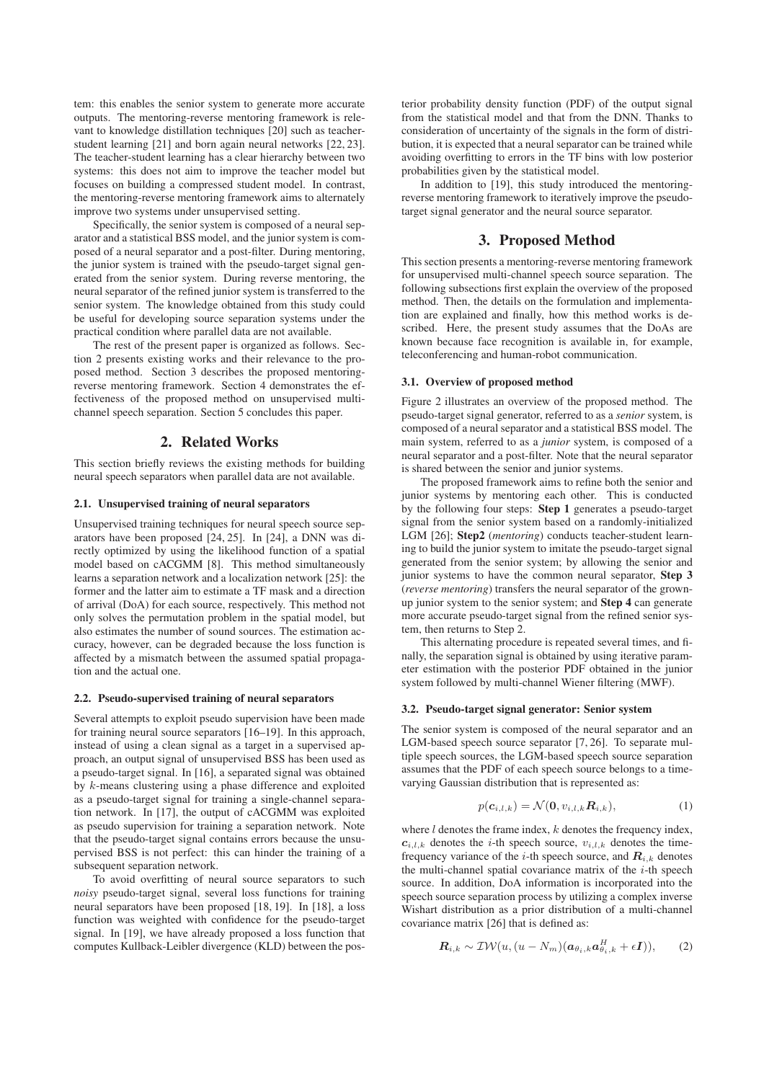tem: this enables the senior system to generate more accurate outputs. The mentoring-reverse mentoring framework is relevant to knowledge distillation techniques [20] such as teacherstudent learning [21] and born again neural networks [22, 23]. The teacher-student learning has a clear hierarchy between two systems: this does not aim to improve the teacher model but focuses on building a compressed student model. In contrast, the mentoring-reverse mentoring framework aims to alternately improve two systems under unsupervised setting.

Specifically, the senior system is composed of a neural separator and a statistical BSS model, and the junior system is composed of a neural separator and a post-filter. During mentoring, the junior system is trained with the pseudo-target signal generated from the senior system. During reverse mentoring, the neural separator of the refined junior system is transferred to the senior system. The knowledge obtained from this study could be useful for developing source separation systems under the practical condition where parallel data are not available.

The rest of the present paper is organized as follows. Section 2 presents existing works and their relevance to the proposed method. Section 3 describes the proposed mentoringreverse mentoring framework. Section 4 demonstrates the effectiveness of the proposed method on unsupervised multichannel speech separation. Section 5 concludes this paper.

## 2. Related Works

This section briefly reviews the existing methods for building neural speech separators when parallel data are not available.

#### 2.1. Unsupervised training of neural separators

Unsupervised training techniques for neural speech source separators have been proposed [24, 25]. In [24], a DNN was directly optimized by using the likelihood function of a spatial model based on cACGMM [8]. This method simultaneously learns a separation network and a localization network [25]: the former and the latter aim to estimate a TF mask and a direction of arrival (DoA) for each source, respectively. This method not only solves the permutation problem in the spatial model, but also estimates the number of sound sources. The estimation accuracy, however, can be degraded because the loss function is affected by a mismatch between the assumed spatial propagation and the actual one.

#### 2.2. Pseudo-supervised training of neural separators

Several attempts to exploit pseudo supervision have been made for training neural source separators [16–19]. In this approach, instead of using a clean signal as a target in a supervised approach, an output signal of unsupervised BSS has been used as a pseudo-target signal. In [16], a separated signal was obtained by k-means clustering using a phase difference and exploited as a pseudo-target signal for training a single-channel separation network. In [17], the output of cACGMM was exploited as pseudo supervision for training a separation network. Note that the pseudo-target signal contains errors because the unsupervised BSS is not perfect: this can hinder the training of a subsequent separation network.

To avoid overfitting of neural source separators to such *noisy* pseudo-target signal, several loss functions for training neural separators have been proposed [18, 19]. In [18], a loss function was weighted with confidence for the pseudo-target signal. In [19], we have already proposed a loss function that computes Kullback-Leibler divergence (KLD) between the pos-

terior probability density function (PDF) of the output signal from the statistical model and that from the DNN. Thanks to consideration of uncertainty of the signals in the form of distribution, it is expected that a neural separator can be trained while avoiding overfitting to errors in the TF bins with low posterior probabilities given by the statistical model.

In addition to [19], this study introduced the mentoringreverse mentoring framework to iteratively improve the pseudotarget signal generator and the neural source separator.

### 3. Proposed Method

This section presents a mentoring-reverse mentoring framework for unsupervised multi-channel speech source separation. The following subsections first explain the overview of the proposed method. Then, the details on the formulation and implementation are explained and finally, how this method works is described. Here, the present study assumes that the DoAs are known because face recognition is available in, for example, teleconferencing and human-robot communication.

#### 3.1. Overview of proposed method

Figure 2 illustrates an overview of the proposed method. The pseudo-target signal generator, referred to as a *senior* system, is composed of a neural separator and a statistical BSS model. The main system, referred to as a *junior* system, is composed of a neural separator and a post-filter. Note that the neural separator is shared between the senior and junior systems.

The proposed framework aims to refine both the senior and junior systems by mentoring each other. This is conducted by the following four steps: Step 1 generates a pseudo-target signal from the senior system based on a randomly-initialized LGM [26]; Step2 (*mentoring*) conducts teacher-student learning to build the junior system to imitate the pseudo-target signal generated from the senior system; by allowing the senior and junior systems to have the common neural separator, Step 3 (*reverse mentoring*) transfers the neural separator of the grownup junior system to the senior system; and Step 4 can generate more accurate pseudo-target signal from the refined senior system, then returns to Step 2.

This alternating procedure is repeated several times, and finally, the separation signal is obtained by using iterative parameter estimation with the posterior PDF obtained in the junior system followed by multi-channel Wiener filtering (MWF).

### 3.2. Pseudo-target signal generator: Senior system

The senior system is composed of the neural separator and an LGM-based speech source separator [7, 26]. To separate multiple speech sources, the LGM-based speech source separation assumes that the PDF of each speech source belongs to a timevarying Gaussian distribution that is represented as:

$$
p(\mathbf{c}_{i,l,k}) = \mathcal{N}(\mathbf{0}, v_{i,l,k} \mathbf{R}_{i,k}),
$$
\n(1)

where  $l$  denotes the frame index,  $k$  denotes the frequency index,  $c_{i,l,k}$  denotes the *i*-th speech source,  $v_{i,l,k}$  denotes the timefrequency variance of the *i*-th speech source, and  $\mathbf{R}_{i,k}$  denotes the multi-channel spatial covariance matrix of the  $i$ -th speech source. In addition, DoA information is incorporated into the speech source separation process by utilizing a complex inverse Wishart distribution as a prior distribution of a multi-channel covariance matrix [26] that is defined as:

$$
\boldsymbol{R}_{i,k} \sim \mathcal{IW}(u, (u - N_m)(\boldsymbol{a}_{\theta_i,k}\boldsymbol{a}_{\theta_i,k}^H + \epsilon \boldsymbol{I})),
$$
 (2)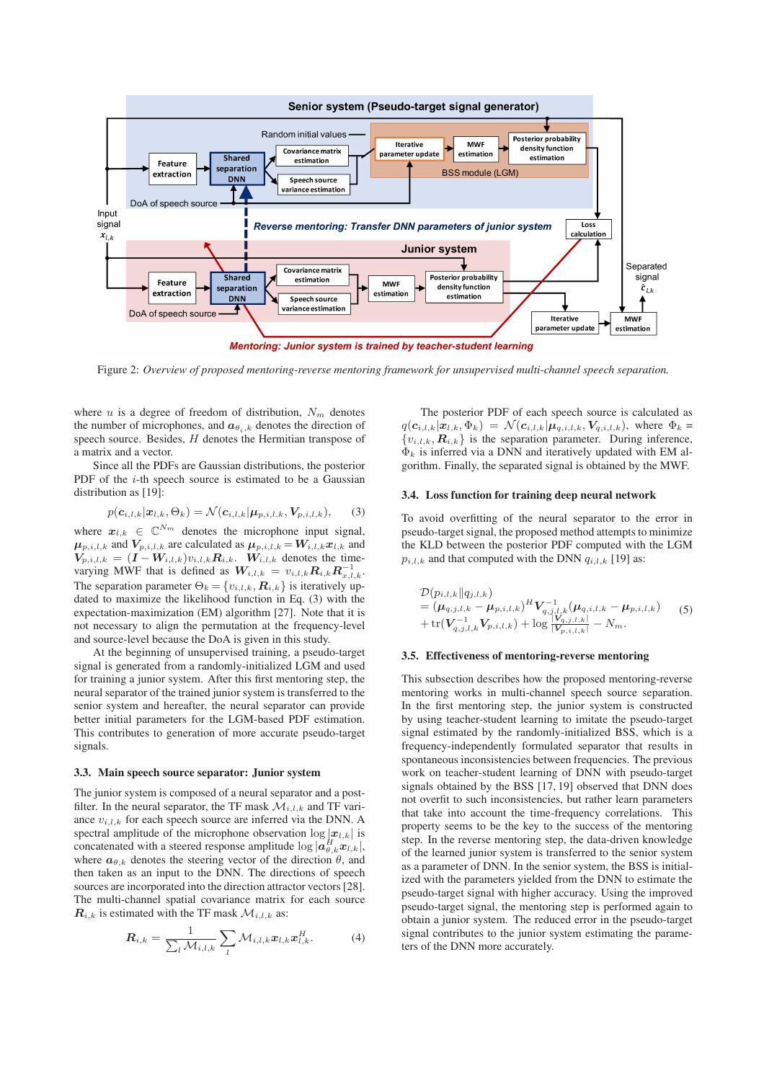

Figure 2: *Overview of proposed mentoring-reverse mentoring framework for unsupervised multi-channel speech separation.*

where  $u$  is a degree of freedom of distribution,  $N_m$  denotes the number of microphones, and  $a_{\theta_i,k}$  denotes the direction of speech source. Besides,  $H$  denotes the Hermitian transpose of a matrix and a vector.

Since all the PDFs are Gaussian distributions, the posterior PDF of the  $i$ -th speech source is estimated to be a Gaussian distribution as [19]:

$$
p(\mathbf{c}_{i,l,k}|\mathbf{x}_{l,k},\Theta_k) = \mathcal{N}(\mathbf{c}_{i,l,k}|\boldsymbol{\mu}_{p,i,l,k},\mathbf{V}_{p,i,l,k}),
$$
(3)

where  $x_{l,k} \in \mathbb{C}^{N_m}$  denotes the microphone input signal,  $\mu_{p,i,l,k}$  and  $V_{p,i,l,k}$  are calculated as  $\mu_{p,i,l,k} = W_{i,l,k}x_{l,k}$  and  $V_{p,i,l,k} = (I - W_{i,l,k})v_{i,l,k}R_{i,k}$ .  $W_{i,l,k}$  denotes the timevarying MWF that is defined as  $W_{i,l,k} = v_{i,l,k} R_{i,k} R_{x,l,k}^{-1}$ . The separation parameter  $\Theta_k = \{v_{i,l,k}, R_{i,k}\}\$ is iteratively updated to maximize the likelihood function in Eq. (3) with the expectation-maximization (EM) algorithm [27]. Note that it is not necessary to align the permutation at the frequency-level and source-level because the DoA is given in this study.

At the beginning of unsupervised training, a pseudo-target signal is generated from a randomly-initialized LGM and used for training a junior system. After this first mentoring step, the neural separator of the trained junior system is transferred to the senior system and hereafter, the neural separator can provide better initial parameters for the LGM-based PDF estimation. This contributes to generation of more accurate pseudo-target signals.

#### 3.3. Main speech source separator: Junior system

The junior system is composed of a neural separator and a postfilter. In the neural separator, the TF mask  $\mathcal{M}_{i,l,k}$  and TF variance  $v_{i,l,k}$  for each speech source are inferred via the DNN. A spectral amplitude of the microphone observation  $\log |x_{l,k}|$  is concatenated with a steered response amplitude  $\log |\bar{a}_{\theta,k}^H x_{l,k}|$ , where  $a_{\theta,k}$  denotes the steering vector of the direction  $\theta$ , and then taken as an input to the DNN. The directions of speech sources are incorporated into the direction attractor vectors [28]. The multi-channel spatial covariance matrix for each source  $\mathbf{R}_{i,k}$  is estimated with the TF mask  $\mathcal{M}_{i,l,k}$  as:

$$
\boldsymbol{R}_{i,k} = \frac{1}{\sum_{l} \mathcal{M}_{i,l,k}} \sum_{l} \mathcal{M}_{i,l,k} \boldsymbol{x}_{l,k} \boldsymbol{x}_{l,k}^H.
$$
 (4)

The posterior PDF of each speech source is calculated as  $q(c_{i,l,k}|\mathbf{x}_{l,k}, \Phi_k) = \mathcal{N}(c_{i,l,k}|\mu_{q,i,l,k}, V_{q,i,l,k}),$  where  $\Phi_k =$  ${v_{i,l,k}, R_{i,k}}$  is the separation parameter. During inference,  $\Phi_k$  is inferred via a DNN and iteratively updated with EM algorithm. Finally, the separated signal is obtained by the MWF.

#### 3.4. Loss function for training deep neural network

To avoid overfitting of the neural separator to the error in pseudo-target signal, the proposed method attempts to minimize the KLD between the posterior PDF computed with the LGM  $p_{i,l,k}$  and that computed with the DNN  $q_{i,l,k}$  [19] as:

$$
\mathcal{D}(p_{i,l,k}||q_{j,l,k}) = (\mu_{q,j,l,k} - \mu_{p,i,l,k})^H V_{q,j,l,k}^{-1} (\mu_{q,i,l,k} - \mu_{p,i,l,k})
$$
\n
$$
+ \text{tr}(V_{q,j,l,k}^{-1} V_{p,i,l,k}) + \log \frac{|V_{q,j,l,k}|}{|V_{p,i,l,k}|} - N_m.
$$
\n(5)

### 3.5. Effectiveness of mentoring-reverse mentoring

This subsection describes how the proposed mentoring-reverse mentoring works in multi-channel speech source separation. In the first mentoring step, the junior system is constructed by using teacher-student learning to imitate the pseudo-target signal estimated by the randomly-initialized BSS, which is a frequency-independently formulated separator that results in spontaneous inconsistencies between frequencies. The previous work on teacher-student learning of DNN with pseudo-target signals obtained by the BSS [17, 19] observed that DNN does not overfit to such inconsistencies, but rather learn parameters that take into account the time-frequency correlations. This property seems to be the key to the success of the mentoring step. In the reverse mentoring step, the data-driven knowledge of the learned junior system is transferred to the senior system as a parameter of DNN. In the senior system, the BSS is initialized with the parameters yielded from the DNN to estimate the pseudo-target signal with higher accuracy. Using the improved pseudo-target signal, the mentoring step is performed again to obtain a junior system. The reduced error in the pseudo-target signal contributes to the junior system estimating the parameters of the DNN more accurately.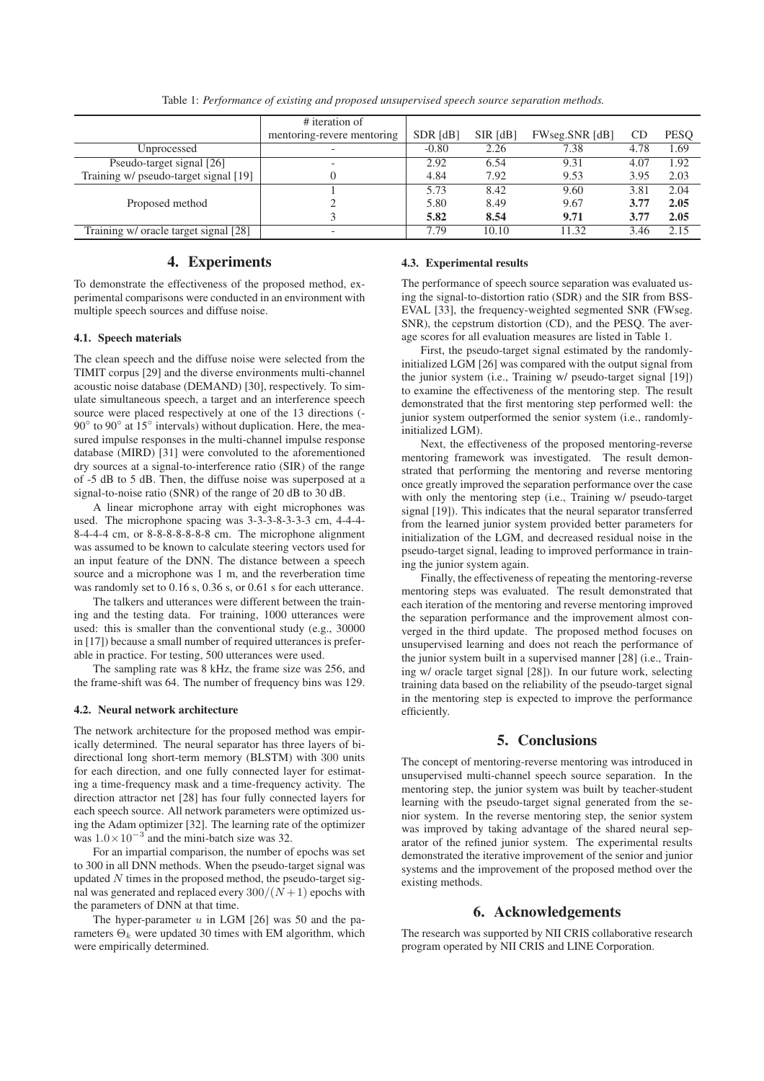|                                       | # iteration of             |            |          |                |      |             |
|---------------------------------------|----------------------------|------------|----------|----------------|------|-------------|
|                                       | mentoring-revere mentoring | $SDR$ [dB] | SIR [dB] | FWseg.SNR [dB] | CD   | <b>PESO</b> |
| Unprocessed                           |                            | $-0.80$    | 2.26     | 7.38           | 4.78 | 1.69        |
| Pseudo-target signal [26]             |                            | 2.92       | 6.54     | 9.31           | 4.07 | 1.92        |
| Training w/ pseudo-target signal [19] |                            | 4.84       | 7.92     | 9.53           | 3.95 | 2.03        |
|                                       |                            | 5.73       | 8.42     | 9.60           | 3.81 | 2.04        |
| Proposed method                       |                            | 5.80       | 8.49     | 9.67           | 3.77 | 2.05        |
|                                       |                            | 5.82       | 8.54     | 9.71           | 3.77 | 2.05        |
| Training w/ oracle target signal [28] | -                          | 7.79       | 10.10    | 11.32          | 3.46 | 2.15        |

Table 1: *Performance of existing and proposed unsupervised speech source separation methods.*

# 4. Experiments

To demonstrate the effectiveness of the proposed method, experimental comparisons were conducted in an environment with multiple speech sources and diffuse noise.

### 4.1. Speech materials

The clean speech and the diffuse noise were selected from the TIMIT corpus [29] and the diverse environments multi-channel acoustic noise database (DEMAND) [30], respectively. To simulate simultaneous speech, a target and an interference speech source were placed respectively at one of the 13 directions (- 90° to 90° at 15° intervals) without duplication. Here, the measured impulse responses in the multi-channel impulse response database (MIRD) [31] were convoluted to the aforementioned dry sources at a signal-to-interference ratio (SIR) of the range of -5 dB to 5 dB. Then, the diffuse noise was superposed at a signal-to-noise ratio (SNR) of the range of 20 dB to 30 dB.

A linear microphone array with eight microphones was used. The microphone spacing was 3-3-3-8-3-3-3 cm, 4-4-4- 8-4-4-4 cm, or 8-8-8-8-8-8-8 cm. The microphone alignment was assumed to be known to calculate steering vectors used for an input feature of the DNN. The distance between a speech source and a microphone was 1 m, and the reverberation time was randomly set to 0.16 s, 0.36 s, or 0.61 s for each utterance.

The talkers and utterances were different between the training and the testing data. For training, 1000 utterances were used: this is smaller than the conventional study (e.g., 30000 in [17]) because a small number of required utterances is preferable in practice. For testing, 500 utterances were used.

The sampling rate was 8 kHz, the frame size was 256, and the frame-shift was 64. The number of frequency bins was 129.

#### 4.2. Neural network architecture

The network architecture for the proposed method was empirically determined. The neural separator has three layers of bidirectional long short-term memory (BLSTM) with 300 units for each direction, and one fully connected layer for estimating a time-frequency mask and a time-frequency activity. The direction attractor net [28] has four fully connected layers for each speech source. All network parameters were optimized using the Adam optimizer [32]. The learning rate of the optimizer was  $1.0 \times 10^{-3}$  and the mini-batch size was 32.

For an impartial comparison, the number of epochs was set to 300 in all DNN methods. When the pseudo-target signal was updated  $N$  times in the proposed method, the pseudo-target signal was generated and replaced every  $300/(N+1)$  epochs with the parameters of DNN at that time.

The hyper-parameter  $u$  in LGM [26] was 50 and the parameters  $\Theta_k$  were updated 30 times with EM algorithm, which were empirically determined.

#### 4.3. Experimental results

The performance of speech source separation was evaluated using the signal-to-distortion ratio (SDR) and the SIR from BSS-EVAL [33], the frequency-weighted segmented SNR (FWseg. SNR), the cepstrum distortion (CD), and the PESQ. The average scores for all evaluation measures are listed in Table 1.

First, the pseudo-target signal estimated by the randomlyinitialized LGM [26] was compared with the output signal from the junior system (i.e., Training w/ pseudo-target signal [19]) to examine the effectiveness of the mentoring step. The result demonstrated that the first mentoring step performed well: the junior system outperformed the senior system (i.e., randomlyinitialized LGM).

Next, the effectiveness of the proposed mentoring-reverse mentoring framework was investigated. The result demonstrated that performing the mentoring and reverse mentoring once greatly improved the separation performance over the case with only the mentoring step (i.e., Training w/ pseudo-target signal [19]). This indicates that the neural separator transferred from the learned junior system provided better parameters for initialization of the LGM, and decreased residual noise in the pseudo-target signal, leading to improved performance in training the junior system again.

Finally, the effectiveness of repeating the mentoring-reverse mentoring steps was evaluated. The result demonstrated that each iteration of the mentoring and reverse mentoring improved the separation performance and the improvement almost converged in the third update. The proposed method focuses on unsupervised learning and does not reach the performance of the junior system built in a supervised manner [28] (i.e., Training w/ oracle target signal [28]). In our future work, selecting training data based on the reliability of the pseudo-target signal in the mentoring step is expected to improve the performance efficiently.

# 5. Conclusions

The concept of mentoring-reverse mentoring was introduced in unsupervised multi-channel speech source separation. In the mentoring step, the junior system was built by teacher-student learning with the pseudo-target signal generated from the senior system. In the reverse mentoring step, the senior system was improved by taking advantage of the shared neural separator of the refined junior system. The experimental results demonstrated the iterative improvement of the senior and junior systems and the improvement of the proposed method over the existing methods.

# 6. Acknowledgements

The research was supported by NII CRIS collaborative research program operated by NII CRIS and LINE Corporation.